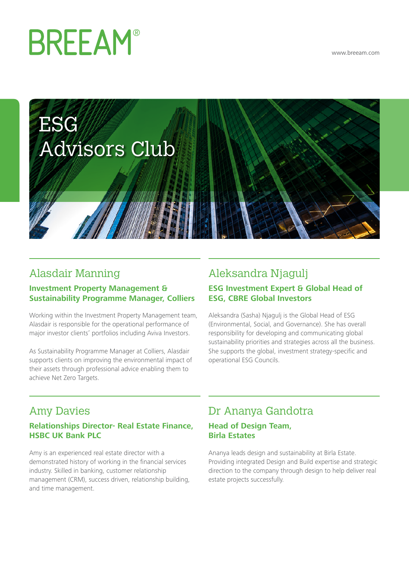# **BREEAM®**

<www.breeam.com>



# Alasdair Manning

#### **Investment Property Management & Sustainability Programme Manager, Colliers**

Working within the Investment Property Management team, Alasdair is responsible for the operational performance of major investor clients' portfolios including Aviva Investors.

As Sustainability Programme Manager at Colliers, Alasdair supports clients on improving the environmental impact of their assets through professional advice enabling them to achieve Net Zero Targets.

## Aleksandra Njagulj **ESG Investment Expert & Global Head of ESG, CBRE Global Investors**

Aleksandra (Sasha) Njagulj is the Global Head of ESG (Environmental, Social, and Governance). She has overall responsibility for developing and communicating global sustainability priorities and strategies across all the business. She supports the global, investment strategy-specific and operational ESG Councils.

# Amy Davies

#### **Relationships Director- Real Estate Finance, HSBC UK Bank PLC**

Amy is an experienced real estate director with a demonstrated history of working in the financial services industry. Skilled in banking, customer relationship management (CRM), success driven, relationship building, and time management.

# Dr Ananya Gandotra

#### **Head of Design Team, Birla Estates**

Ananya leads design and sustainability at Birla Estate. Providing integrated Design and Build expertise and strategic direction to the company through design to help deliver real estate projects successfully.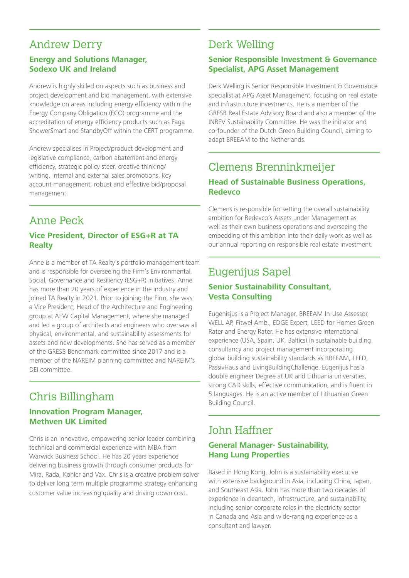# Andrew Derry

#### **Energy and Solutions Manager, Sodexo UK and Ireland**

Andrew is highly skilled on aspects such as business and project development and bid management, with extensive knowledge on areas including energy efficiency within the Energy Company Obligation (ECO) programme and the accreditation of energy efficiency products such as Eaga ShowerSmart and StandbyOff within the CERT programme.

Andrew specialises in Project/product development and legislative compliance, carbon abatement and energy efficiency, strategic policy steer, creative thinking/ writing, internal and external sales promotions, key account management, robust and effective bid/proposal management.

# Anne Peck

#### **Vice President, Director of ESG+R at TA Realty**

Anne is a member of TA Realty's portfolio management team and is responsible for overseeing the Firm's Environmental, Social, Governance and Resiliency (ESG+R) initiatives. Anne has more than 20 years of experience in the industry and joined TA Realty in 2021. Prior to joining the Firm, she was a Vice President, Head of the Architecture and Engineering group at AEW Capital Management, where she managed and led a group of architects and engineers who oversaw all physical, environmental, and sustainability assessments for assets and new developments. She has served as a member of the GRESB Benchmark committee since 2017 and is a member of the NAREIM planning committee and NAREIM's DEI committee.

## Chris Billingham **Innovation Program Manager,**

# **Methven UK Limited**

Chris is an innovative, empowering senior leader combining technical and commercial experience with MBA from Warwick Business School. He has 20 years experience delivering business growth through consumer products for Mira, Rada, Kohler and Vax. Chris is a creative problem solver to deliver long term multiple programme strategy enhancing customer value increasing quality and driving down cost.

# Derk Welling

#### **Senior Responsible Investment & Governance Specialist, APG Asset Management**

Derk Welling is Senior Responsible Investment & Governance specialist at APG Asset Management, focusing on real estate and infrastructure investments. He is a member of the GRESB Real Estate Advisory Board and also a member of the INREV Sustainability Committee. He was the initiator and co-founder of the Dutch Green Building Council, aiming to adapt BREEAM to the Netherlands.

# Clemens Brenninkmeijer

#### **Head of Sustainable Business Operations, Redevco**

Clemens is responsible for setting the overall sustainability ambition for Redevco's Assets under Management as well as their own business operations and overseeing the embedding of this ambition into their daily work as well as our annual reporting on responsible real estate investment.

## Eugenijus Sapel **Senior Sustainability Consultant, Vesta Consulting**

Eugenisjus is a Project Manager, BREEAM In-Use Assessor, WELL AP, Fitwel Amb., EDGE Expert, LEED for Homes Green Rater and Energy Rater. He has extensive international experience (USA, Spain, UK, Baltics) in sustainable building consultancy and project management incorporating global building sustainability standards as BREEAM, LEED, PassivHaus and LivingBuildingChallenge. Eugenijus has a double engineer Degree at UK and Lithuania universities, strong CAD skills, effective communication, and is fluent in 5 languages. He is an active member of Lithuanian Green Building Council.

# John Haffner

#### **General Manager- Sustainability, Hang Lung Properties**

Based in Hong Kong, John is a sustainability executive with extensive background in Asia, including China, Japan, and Southeast Asia. John has more than two decades of experience in cleantech, infrastructure, and sustainability, including senior corporate roles in the electricity sector in Canada and Asia and wide-ranging experience as a consultant and lawyer.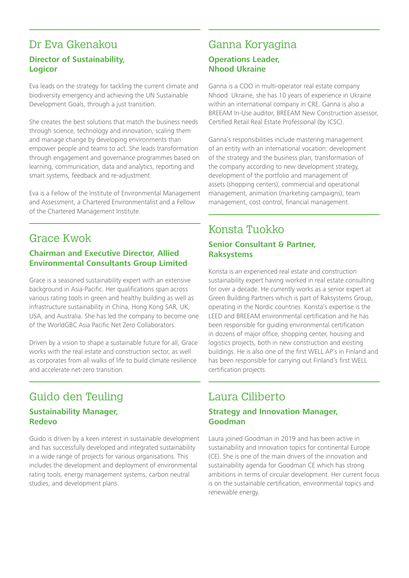# Dr Eva Gkenakou

#### **Director of Sustainability, Logicor**

Eva leads on the strategy for tackling the current climate and biodiversity emergency and achieving the UN Sustainable Development Goals, through a just transition.

She creates the best solutions that match the business needs through science, technology and innovation, scaling them and manage change by developing environments than empower people and teams to act. She leads transformation through engagement and governance programmes based on learning, communication, data and analytics, reporting and smart systems, feedback and re-adjustment.

Eva is a Fellow of the Institute of Environmental Management and Assessment, a Chartered Environmentalist and a Fellow of the Chartered Management Institute.

## Grace Kwok

#### **Chairman and Executive Director, Allied Environmental Consultants Group Limited**

Grace is a seasoned sustainability expert with an extensive background in Asia-Pacific. Her qualifications span across various rating tools in green and healthy building as well as infrastructure sustainability in China, Hong Kong SAR, UK, USA, and Australia. She has led the company to become one of the WorldGBC Asia Pacific Net Zero Collaborators.

Driven by a vision to shape a sustainable future for all, Grace works with the real estate and construction sector, as well as corporates from all walks of life to build climate resilience and accelerate net-zero transition.

## Guido den Teuling **Sustainability Manager, Redevo**

Guido is driven by a keen interest in sustainable development and has successfully developed and integrated sustainability in a wide range of projects for various organisations. This includes the development and deployment of environmental rating tools, energy management systems, carbon neutral studies, and development plans.

## Ganna Koryagina **Operations Leader, Nhood Ukraine**

Ganna is a COO in multi-operator real estate company Nhood Ukraine, she has 10 years of experience in Ukraine within an international company in CRE. Ganna is also a BREEAM In-Use auditor, BREEAM New Construction assessor, Certified Retail Real Estate Professional (by ICSC).

Ganna's responsibilities include mastering management of an entity with an international vocation: development of the strategy and the business plan, transformation of the company according to new development strategy, development of the portfolio and management of assets (shopping centers), commercial and operational management, animation (marketing campaigns), team management, cost control, financial management.

## Konsta Tuokko **Senior Consultant & Partner, Raksystems**

Konsta is an experienced real estate and construction sustainability expert having worked in real estate consulting for over a decade. He currently works as a senior expert at Green Building Partners which is part of Raksystems Group, operating in the Nordic countries. Konsta's expertise is the LEED and BREEAM environmental certification and he has been responsible for guiding environmental certification in dozens of major office, shopping center, housing and logistics projects, both in new construction and existing buildings. He is also one of the first WELL AP's in Finland and has been responsible for carrying out Finland's first WELL certification projects.

## Laura Ciliberto **Strategy and Innovation Manager, Goodman**

Laura joined Goodman in 2019 and has been active in sustainability and innovation topics for continental Europe (CE). She is one of the main drivers of the innovation and sustainability agenda for Goodman CE which has strong ambitions in terms of circular development. Her current focus is on the sustainable certification, environmental topics and renewable energy.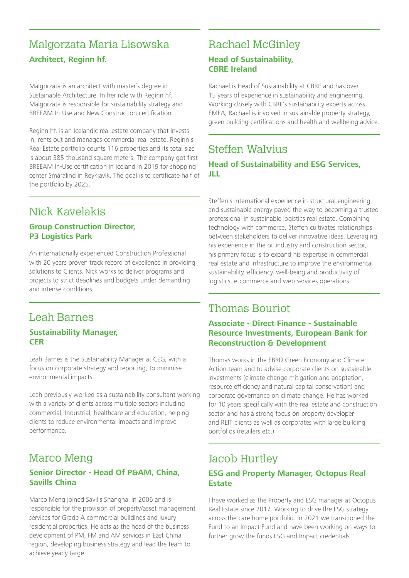# Malgorzata Maria Lisowska **Architect, Reginn hf.**

Malgorzata is an architect with master´s degree in Sustainable Architecture. In her role with Reginn hf. Malgorzata is responsible for sustainability strategy and BREEAM In-Use and New Construction certification.

Reginn hf. is an Icelandic real estate company that invests in, rents out and manages commercial real estate. Reginn's Real Estate portfolio counts 116 properties and its total size is about 385 thousand square meters. The company got first BREEAM In-Use certification in Iceland in 2019 for shopping center Smáralind in Reykjavík. The goal is to certificate half of the portfolio by 2025.

# Nick Kavelakis

#### **Group Construction Director, P3 Logistics Park**

An internationally experienced Construction Professional with 20 years proven track record of excellence in providing solutions to Clients. Nick works to deliver programs and projects to strict deadlines and budgets under demanding and intense conditions.

# Leah Barnes

#### **Sustainability Manager, CER**

Leah Barnes is the Sustainability Manager at CEG, with a focus on corporate strategy and reporting, to minimise environmental impacts.

Leah previously worked as a sustainability consultant working with a variety of clients across multiple sectors including commercial, Industrial, healthcare and education, helping clients to reduce environmental impacts and improve performance.

# Marco Meng

#### **Senior Director - Head Of P&AM, China, Savills China**

Marco Meng joined Savills Shanghai in 2006 and is responsible for the provision of property/asset management services for Grade A commercial buildings and luxury residential properties. He acts as the head of the business development of PM, FM and AM services in East China region, developing business strategy and lead the team to achieve yearly target.

# Rachael McGinley

#### **Head of Sustainability, CBRE Ireland**

Rachael is Head of Sustainability at CBRE and has over 15 years of experience in sustainability and engineering. Working closely with CBRE's sustainability experts across EMEA, Rachael is involved in sustainable property strategy, green building certifications and health and wellbeing advice.

## Steffen Walvius **Head of Sustainability and ESG Services, JLL**

Steffen's international experience in structural engineering and sustainable energy paved the way to becoming a trusted professional in sustainable logistics real estate. Combining technology with commerce, Steffen cultivates relationships between stakeholders to deliver innovative ideas. Leveraging his experience in the oil industry and construction sector, his primary focus is to expand his expertise in commercial real estate and infrastructure to improve the environmental sustainability, efficiency, well-being and productivity of logistics, e-commerce and web services operations.

# Thomas Bouriot

#### **Associate - Direct Finance - Sustainable Resource Investments, European Bank for Reconstruction & Development**

Thomas works in the EBRD Green Economy and Climate Action team and to advise corporate clients on sustainable investments (climate change mitigation and adaptation, resource efficiency and natural capital conservation) and corporate governance on climate change. He has worked for 10 years specifically with the real estate and construction sector and has a strong focus on property developer and REIT clients as well as corporates with large building portfolios (retailers etc.)

## Jacob Hurtley

#### **ESG and Property Manager, Octopus Real Estate**

I have worked as the Property and ESG manager at Octopus Real Estate since 2017. Working to drive the ESG strategy across the care home portfolio. In 2021 we transitioned the Fund to an Impact Fund and have been working on ways to further grow the funds ESG and Impact credentials.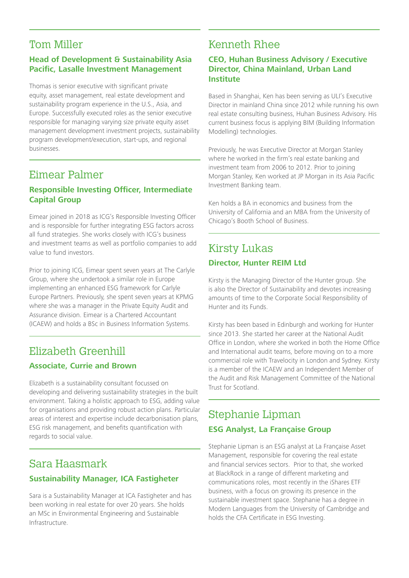## Tom Miller

#### **Head of Development & Sustainability Asia Pacific, Lasalle Investment Management**

Thomas is senior executive with significant private equity, asset management, real estate development and sustainability program experience in the U.S., Asia, and Europe. Successfully executed roles as the senior executive responsible for managing varying size private equity asset management development investment projects, sustainability program development/execution, start-ups, and regional businesses.

## Eimear Palmer

#### **Responsible Investing Officer, Intermediate Capital Group**

Eimear joined in 2018 as ICG's Responsible Investing Officer and is responsible for further integrating ESG factors across all fund strategies. She works closely with ICG's business and investment teams as well as portfolio companies to add value to fund investors.

Prior to joining ICG, Eimear spent seven years at The Carlyle Group, where she undertook a similar role in Europe implementing an enhanced ESG framework for Carlyle Europe Partners. Previously, she spent seven years at KPMG where she was a manager in the Private Equity Audit and Assurance division. Eimear is a Chartered Accountant (ICAEW) and holds a BSc in Business Information Systems.

# Elizabeth Greenhill **Associate, Currie and Brown**

Elizabeth is a sustainability consultant focussed on developing and delivering sustainability strategies in the built environment. Taking a holistic approach to ESG, adding value for organisations and providing robust action plans. Particular areas of interest and expertise include decarbonisation plans, ESG risk management, and benefits quantification with regards to social value.

## Sara Haasmark **Sustainability Manager, ICA Fastigheter**

Sara is a Sustainability Manager at ICA Fastigheter and has been working in real estate for over 20 years. She holds an MSc in Environmental Engineering and Sustainable Infrastructure.

# Kenneth Rhee

#### **CEO, Huhan Business Advisory / Executive Director, China Mainland, Urban Land Institute**

Based in Shanghai, Ken has been serving as ULI's Executive Director in mainland China since 2012 while running his own real estate consulting business, Huhan Business Advisory. His current business focus is applying BIM (Building Information Modelling) technologies.

Previously, he was Executive Director at Morgan Stanley where he worked in the firm's real estate banking and investment team from 2006 to 2012. Prior to joining Morgan Stanley, Ken worked at JP Morgan in its Asia Pacific Investment Banking team.

Ken holds a BA in economics and business from the University of California and an MBA from the University of Chicago's Booth School of Business.

## Kirsty Lukas **Director, Hunter REIM Ltd**

Kirsty is the Managing Director of the Hunter group. She is also the Director of Sustainability and devotes increasing amounts of time to the Corporate Social Responsibility of Hunter and its Funds.

Kirsty has been based in Edinburgh and working for Hunter since 2013. She started her career at the National Audit Office in London, where she worked in both the Home Office and International audit teams, before moving on to a more commercial role with Travelocity in London and Sydney. Kirsty is a member of the ICAEW and an Independent Member of the Audit and Risk Management Committee of the National Trust for Scotland.

# Stephanie Lipman **ESG Analyst, La Française Group**

Stephanie Lipman is an ESG analyst at La Française Asset Management, responsible for covering the real estate and financial services sectors. Prior to that, she worked at BlackRock in a range of different marketing and communications roles, most recently in the iShares ETF business, with a focus on growing its presence in the sustainable investment space. Stephanie has a degree in Modern Languages from the University of Cambridge and holds the CFA Certificate in ESG Investing.